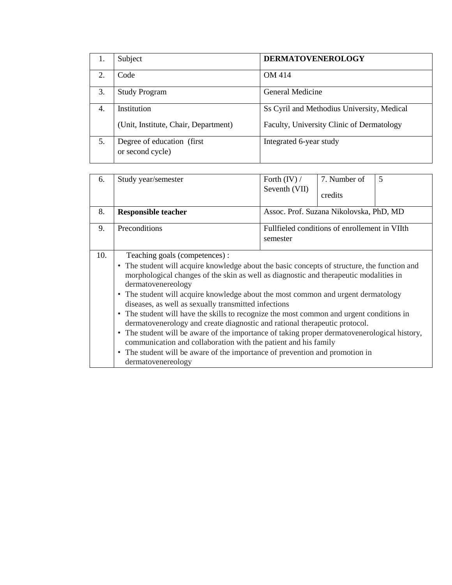| 1. | Subject                                         | <b>DERMATOVENEROLOGY</b>                   |
|----|-------------------------------------------------|--------------------------------------------|
| 2. | Code                                            | OM 414                                     |
| 3. | <b>Study Program</b>                            | General Medicine                           |
| 4. | Institution                                     | Ss Cyril and Methodius University, Medical |
|    | (Unit, Institute, Chair, Department)            | Faculty, University Clinic of Dermatology  |
| 5. | Degree of education (first)<br>or second cycle) | Integrated 6-year study                    |

| 6.  | Study year/semester                                                                                                                                                                                                                                                                                                                                                                                                                                                                                                                                                                                                                                                                                                                                                                                                                           | Forth $(IV) /$<br>Seventh (VII)                           | 7. Number of<br>credits                 | 5 |  |  |  |
|-----|-----------------------------------------------------------------------------------------------------------------------------------------------------------------------------------------------------------------------------------------------------------------------------------------------------------------------------------------------------------------------------------------------------------------------------------------------------------------------------------------------------------------------------------------------------------------------------------------------------------------------------------------------------------------------------------------------------------------------------------------------------------------------------------------------------------------------------------------------|-----------------------------------------------------------|-----------------------------------------|---|--|--|--|
| 8.  | <b>Responsible teacher</b>                                                                                                                                                                                                                                                                                                                                                                                                                                                                                                                                                                                                                                                                                                                                                                                                                    |                                                           | Assoc. Prof. Suzana Nikolovska, PhD, MD |   |  |  |  |
| 9.  | Preconditions                                                                                                                                                                                                                                                                                                                                                                                                                                                                                                                                                                                                                                                                                                                                                                                                                                 | Fullfieled conditions of enrollement in VIIth<br>semester |                                         |   |  |  |  |
| 10. | Teaching goals (competences) :<br>• The student will acquire knowledge about the basic concepts of structure, the function and<br>morphological changes of the skin as well as diagnostic and therapeutic modalities in<br>dermatovenereology<br>• The student will acquire knowledge about the most common and urgent dermatology<br>diseases, as well as sexually transmitted infections<br>• The student will have the skills to recognize the most common and urgent conditions in<br>dermatovenerology and create diagnostic and rational therapeutic protocol.<br>• The student will be aware of the importance of taking proper dermatovenerological history,<br>communication and collaboration with the patient and his family<br>• The student will be aware of the importance of prevention and promotion in<br>dermatovenereology |                                                           |                                         |   |  |  |  |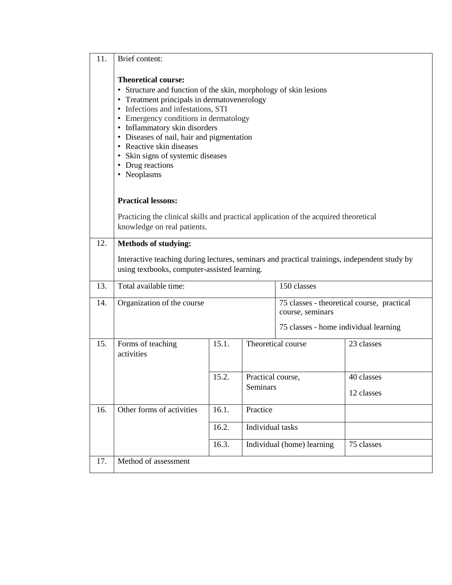| 11. | Brief content:                                                                                                                                                                                                                                                                                                                                                                                                                   |       |                        |                                                                |            |  |  |  |  |  |
|-----|----------------------------------------------------------------------------------------------------------------------------------------------------------------------------------------------------------------------------------------------------------------------------------------------------------------------------------------------------------------------------------------------------------------------------------|-------|------------------------|----------------------------------------------------------------|------------|--|--|--|--|--|
|     | <b>Theoretical course:</b><br>• Structure and function of the skin, morphology of skin lesions<br>• Treatment principals in dermatovenerology<br>Infections and infestations, STI<br>٠<br>Emergency conditions in dermatology<br>$\bullet$<br>Inflammatory skin disorders<br>٠<br>Diseases of nail, hair and pigmentation<br>٠<br>• Reactive skin diseases<br>Skin signs of systemic diseases<br>• Drug reactions<br>• Neoplasms |       |                        |                                                                |            |  |  |  |  |  |
|     | <b>Practical lessons:</b>                                                                                                                                                                                                                                                                                                                                                                                                        |       |                        |                                                                |            |  |  |  |  |  |
|     | Practicing the clinical skills and practical application of the acquired theoretical<br>knowledge on real patients.                                                                                                                                                                                                                                                                                                              |       |                        |                                                                |            |  |  |  |  |  |
| 12. | <b>Methods of studying:</b>                                                                                                                                                                                                                                                                                                                                                                                                      |       |                        |                                                                |            |  |  |  |  |  |
|     | Interactive teaching during lectures, seminars and practical trainings, independent study by<br>using textbooks, computer-assisted learning.                                                                                                                                                                                                                                                                                     |       |                        |                                                                |            |  |  |  |  |  |
| 13. | Total available time:                                                                                                                                                                                                                                                                                                                                                                                                            |       |                        | 150 classes                                                    |            |  |  |  |  |  |
| 14. | Organization of the course                                                                                                                                                                                                                                                                                                                                                                                                       |       |                        | 75 classes - theoretical course, practical<br>course, seminars |            |  |  |  |  |  |
|     |                                                                                                                                                                                                                                                                                                                                                                                                                                  |       |                        | 75 classes - home individual learning                          |            |  |  |  |  |  |
| 15. | Forms of teaching<br>activities                                                                                                                                                                                                                                                                                                                                                                                                  | 15.1. |                        | Theoretical course                                             | 23 classes |  |  |  |  |  |
|     |                                                                                                                                                                                                                                                                                                                                                                                                                                  | 15.2. | Practical course,      |                                                                | 40 classes |  |  |  |  |  |
|     |                                                                                                                                                                                                                                                                                                                                                                                                                                  |       | Seminars<br>12 classes |                                                                |            |  |  |  |  |  |
| 16. | Other forms of activities                                                                                                                                                                                                                                                                                                                                                                                                        | 16.1. | Practice               |                                                                |            |  |  |  |  |  |
|     |                                                                                                                                                                                                                                                                                                                                                                                                                                  | 16.2. | Individual tasks       |                                                                |            |  |  |  |  |  |
|     |                                                                                                                                                                                                                                                                                                                                                                                                                                  | 16.3. |                        | Individual (home) learning                                     | 75 classes |  |  |  |  |  |
| 17. | Method of assessment                                                                                                                                                                                                                                                                                                                                                                                                             |       |                        |                                                                |            |  |  |  |  |  |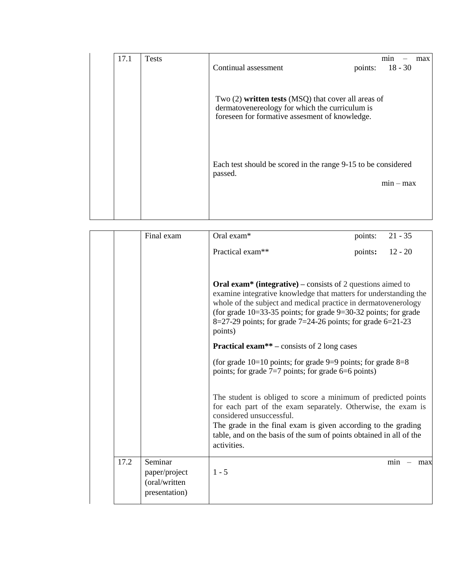| 17.1 | <b>Tests</b> | Continual assessment                                                                                                                                      | points: | min<br>$18 - 30$ | max |
|------|--------------|-----------------------------------------------------------------------------------------------------------------------------------------------------------|---------|------------------|-----|
|      |              | Two $(2)$ written tests (MSQ) that cover all areas of<br>dermatovenereology for which the curriculum is<br>foreseen for formative assesment of knowledge. |         |                  |     |
|      |              | Each test should be scored in the range 9-15 to be considered<br>passed.                                                                                  |         | $min - max$      |     |
|      |              |                                                                                                                                                           |         |                  |     |

|      | Final exam                                                 | Oral exam*                                                                                                                                                                                                                                                                                                       | points: | $21 - 35$                              |
|------|------------------------------------------------------------|------------------------------------------------------------------------------------------------------------------------------------------------------------------------------------------------------------------------------------------------------------------------------------------------------------------|---------|----------------------------------------|
|      |                                                            | Practical exam**                                                                                                                                                                                                                                                                                                 | points: | $12 - 20$                              |
|      |                                                            | <b>Oral exam<sup>*</sup> (integrative)</b> – consists of 2 questions aimed to<br>examine integrative knowledge that matters for understanding the<br>whole of the subject and medical practice in dermatovenerology                                                                                              |         |                                        |
|      |                                                            | (for grade $10=33-35$ points; for grade $9=30-32$ points; for grade<br>$8=27-29$ points; for grade 7=24-26 points; for grade 6=21-23<br>points)                                                                                                                                                                  |         |                                        |
|      |                                                            | <b>Practical exam**</b> – consists of 2 long cases                                                                                                                                                                                                                                                               |         |                                        |
|      |                                                            | (for grade $10=10$ points; for grade $9=9$ points; for grade $8=8$<br>points; for grade $7=7$ points; for grade $6=6$ points)                                                                                                                                                                                    |         |                                        |
|      |                                                            | The student is obliged to score a minimum of predicted points<br>for each part of the exam separately. Otherwise, the exam is<br>considered unsuccessful.<br>The grade in the final exam is given according to the grading<br>table, and on the basis of the sum of points obtained in all of the<br>activities. |         |                                        |
| 17.2 | Seminar<br>paper/project<br>(oral/written<br>presentation) | $1 - 5$                                                                                                                                                                                                                                                                                                          |         | min<br>max<br>$\overline{\phantom{m}}$ |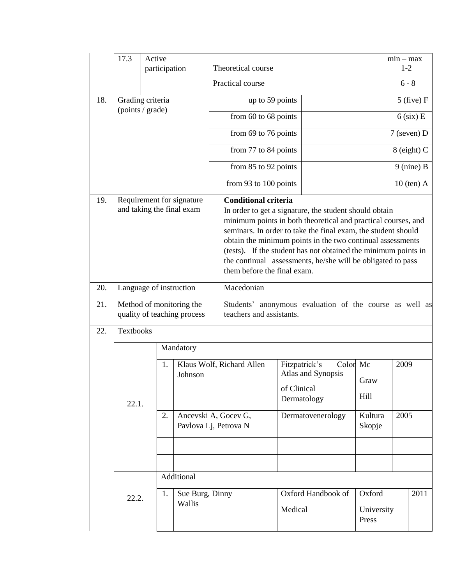|            | 17.3                                                    | Active<br>participation |           |                                               | Theoretical course                                                                                                                                                                                                                                                                                                                                                                                                                                    |                              |                                   |       |                               | $min - max$<br>$1-2$ |                |
|------------|---------------------------------------------------------|-------------------------|-----------|-----------------------------------------------|-------------------------------------------------------------------------------------------------------------------------------------------------------------------------------------------------------------------------------------------------------------------------------------------------------------------------------------------------------------------------------------------------------------------------------------------------------|------------------------------|-----------------------------------|-------|-------------------------------|----------------------|----------------|
|            |                                                         |                         |           | Practical course                              |                                                                                                                                                                                                                                                                                                                                                                                                                                                       |                              |                                   |       | $6 - 8$                       |                      |                |
| 18.        |                                                         | Grading criteria        |           |                                               | up to 59 points                                                                                                                                                                                                                                                                                                                                                                                                                                       |                              | $5$ (five) $F$                    |       |                               |                      |                |
|            |                                                         | (points / grade)        |           |                                               | from 60 to 68 points                                                                                                                                                                                                                                                                                                                                                                                                                                  |                              |                                   |       |                               |                      |                |
|            |                                                         |                         |           |                                               | from 69 to 76 points                                                                                                                                                                                                                                                                                                                                                                                                                                  |                              | $6$ (six) E<br>$7$ (seven) D      |       |                               |                      |                |
|            |                                                         |                         |           |                                               | from 77 to 84 points                                                                                                                                                                                                                                                                                                                                                                                                                                  |                              |                                   |       |                               |                      | $8$ (eight) C  |
|            |                                                         |                         |           |                                               |                                                                                                                                                                                                                                                                                                                                                                                                                                                       |                              |                                   |       |                               |                      |                |
|            |                                                         |                         |           |                                               | from 85 to 92 points                                                                                                                                                                                                                                                                                                                                                                                                                                  |                              |                                   |       |                               |                      | $9$ (nine) B   |
|            |                                                         |                         |           |                                               | from 93 to 100 points                                                                                                                                                                                                                                                                                                                                                                                                                                 |                              |                                   |       |                               |                      | $10$ (ten) $A$ |
| 19.        | Requirement for signature<br>and taking the final exam  |                         |           |                                               | <b>Conditional criteria</b><br>In order to get a signature, the student should obtain<br>minimum points in both theoretical and practical courses, and<br>seminars. In order to take the final exam, the student should<br>obtain the minimum points in the two continual assessments<br>(tests). If the student has not obtained the minimum points in<br>the continual assessments, he/she will be obligated to pass<br>them before the final exam. |                              |                                   |       |                               |                      |                |
| 20.        |                                                         | Language of instruction |           |                                               | Macedonian                                                                                                                                                                                                                                                                                                                                                                                                                                            |                              |                                   |       |                               |                      |                |
| 21.        | Method of monitoring the<br>quality of teaching process |                         |           |                                               | Students' anonymous evaluation of the course as well as<br>teachers and assistants.                                                                                                                                                                                                                                                                                                                                                                   |                              |                                   |       |                               |                      |                |
| 22.        | <b>Textbooks</b>                                        |                         |           |                                               |                                                                                                                                                                                                                                                                                                                                                                                                                                                       |                              |                                   |       |                               |                      |                |
|            |                                                         |                         | Mandatory |                                               |                                                                                                                                                                                                                                                                                                                                                                                                                                                       |                              |                                   |       |                               |                      |                |
|            | 22.1.                                                   | 1.                      | Johnson   | Klaus Wolf, Richard Allen                     |                                                                                                                                                                                                                                                                                                                                                                                                                                                       | Fitzpatrick's<br>of Clinical | Atlas and Synopsis<br>Dermatology | Color | Mc<br>Graw<br>Hill            | 2009                 |                |
|            | 2.                                                      |                         |           | Ancevski A, Gocev G,<br>Pavlova Lj, Petrova N |                                                                                                                                                                                                                                                                                                                                                                                                                                                       |                              | Dermatovenerology                 |       | Kultura<br>Skopje             | 2005                 |                |
|            |                                                         |                         |           |                                               |                                                                                                                                                                                                                                                                                                                                                                                                                                                       |                              |                                   |       |                               |                      |                |
| Additional |                                                         |                         |           |                                               |                                                                                                                                                                                                                                                                                                                                                                                                                                                       |                              |                                   |       |                               |                      |                |
|            | 1.<br>Sue Burg, Dinny<br>22.2.<br>Wallis                |                         |           |                                               |                                                                                                                                                                                                                                                                                                                                                                                                                                                       | Medical                      | Oxford Handbook of                |       | Oxford<br>University<br>Press |                      | 2011           |